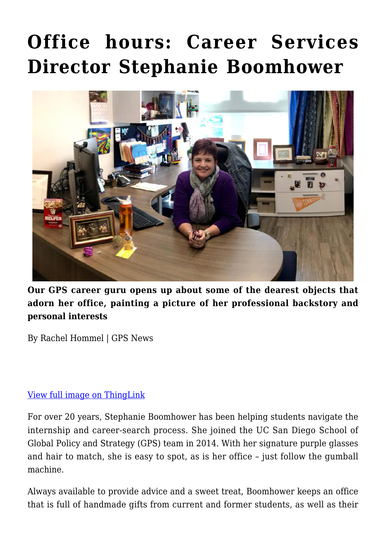# **[Office hours: Career Services](https://gpsnews.ucsd.edu/office-hours-career-services-director-stephanie-boomhower/) [Director Stephanie Boomhower](https://gpsnews.ucsd.edu/office-hours-career-services-director-stephanie-boomhower/)**



**Our GPS career guru opens up about some of the dearest objects that adorn her office, painting a picture of her professional backstory and personal interests**

By Rachel Hommel | GPS News

#### [View full image on ThingLink](https://www.thinglink.com/scene/1213894005125808134)

For over 20 years, Stephanie Boomhower has been helping students navigate the internship and career-search process. She joined the UC San Diego School of Global Policy and Strategy (GPS) team in 2014. With her signature purple glasses and hair to match, she is easy to spot, as is her office – just follow the gumball machine.

Always available to provide advice and a sweet treat, Boomhower keeps an office that is full of handmade gifts from current and former students, as well as their